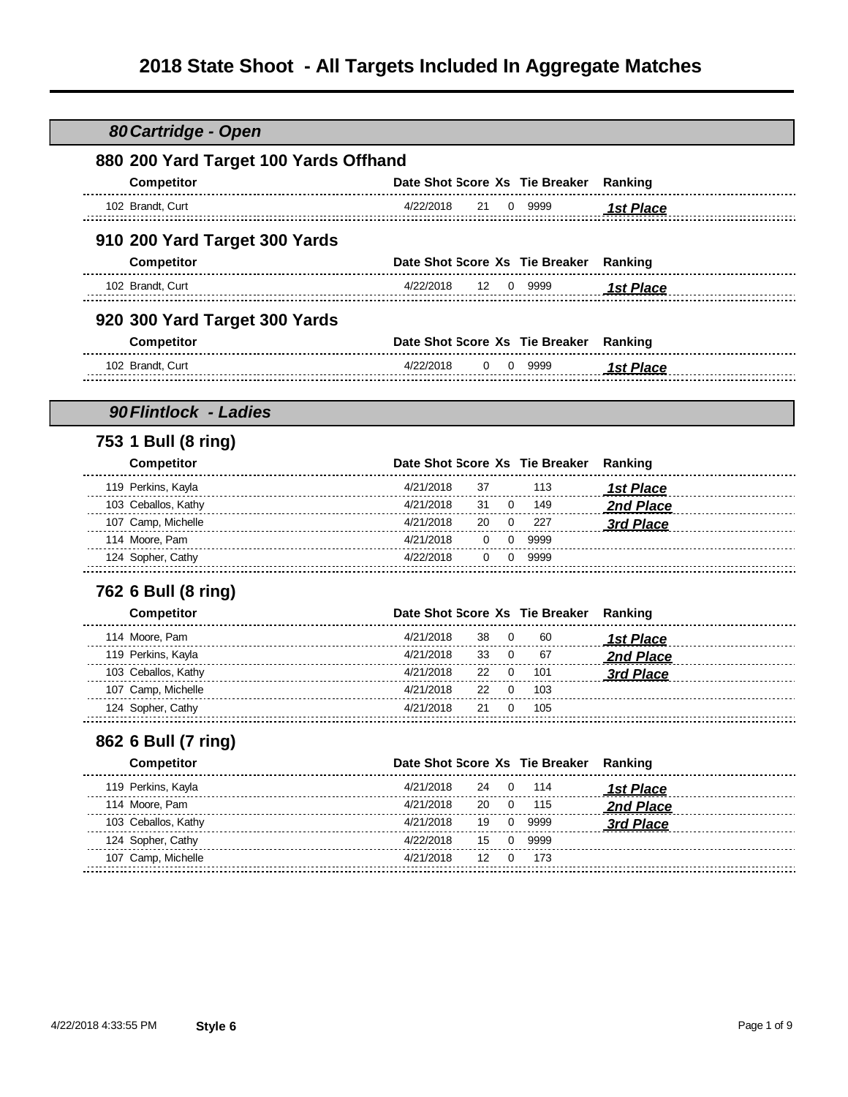# **2018 State Shoot - All Targets Included In Aggregate Matches**

| 880 200 Yard Target 100 Yards Offhand |           |    |              |                                        |                  |
|---------------------------------------|-----------|----|--------------|----------------------------------------|------------------|
| Competitor                            |           |    |              | Date Shot Score Xs Tie Breaker         | Ranking          |
|                                       |           |    |              |                                        |                  |
| 102 Brandt, Curt                      | 4/22/2018 | 21 |              | 0 9999                                 | <b>1st Place</b> |
| 910 200 Yard Target 300 Yards         |           |    |              |                                        |                  |
| Competitor                            |           |    |              | Date Shot Score Xs Tie Breaker Ranking |                  |
| 102 Brandt, Curt                      | 4/22/2018 | 12 |              | 0 9999                                 | <b>1st Place</b> |
|                                       |           |    |              |                                        |                  |
| 920 300 Yard Target 300 Yards         |           |    |              |                                        |                  |
| Competitor                            |           |    |              | Date Shot Score Xs Tie Breaker Ranking |                  |
| 102 Brandt, Curt                      | 4/22/2018 | 0  |              | 0 9999                                 | <b>1st Place</b> |
|                                       |           |    |              |                                        |                  |
| 90 Flintlock - Ladies                 |           |    |              |                                        |                  |
| 753 1 Bull (8 ring)                   |           |    |              |                                        |                  |
| Competitor                            |           |    |              | Date Shot Score Xs Tie Breaker         | Ranking          |
| 119 Perkins, Kayla                    | 4/21/2018 | 37 |              | 113                                    | <b>1st Place</b> |
| 103 Ceballos, Kathy                   | 4/21/2018 | 31 | 0            | 149                                    | 2nd Place        |
| 107 Camp, Michelle                    | 4/21/2018 | 20 | 0            | 227                                    | <b>3rd Place</b> |
| 114 Moore, Pam                        | 4/21/2018 | 0  | 0            | 9999                                   |                  |
| 124 Sopher, Cathy                     | 4/22/2018 | 0  | 0            | 9999                                   |                  |
| 762 6 Bull (8 ring)                   |           |    |              |                                        |                  |
| <b>Competitor</b>                     |           |    |              | Date Shot Score Xs Tie Breaker         | Ranking          |
| 114 Moore, Pam                        | 4/21/2018 | 38 | $\Omega$     | 60                                     | <b>1st Place</b> |
| 119 Perkins, Kayla                    | 4/21/2018 | 33 | 0            | 67                                     | 2nd Place        |
| 103 Ceballos, Kathy                   | 4/21/2018 | 22 | 0            | 101                                    | 3rd Place        |
| 107 Camp, Michelle                    | 4/21/2018 | 22 | $\mathbf{0}$ | 103                                    |                  |
| 124 Sopher, Cathy                     | 4/21/2018 | 21 | 0            | 105                                    |                  |
| 862 6 Bull (7 ring)                   |           |    |              |                                        |                  |
| <b>Competitor</b>                     |           |    |              | Date Shot Score Xs Tie Breaker         | Ranking          |
| 119 Perkins, Kayla                    | 4/21/2018 | 24 | 0            | 114                                    |                  |
| 114 Moore, Pam                        | 4/21/2018 | 20 | 0            | 115                                    | <b>1st Place</b> |
|                                       |           |    | 0            |                                        | 2nd Place        |
| 103 Ceballos, Kathy                   | 4/21/2018 | 19 |              | 9999                                   | 3rd Place        |
| 124 Sopher, Cathy                     | 4/22/2018 | 15 | 0            | 9999                                   |                  |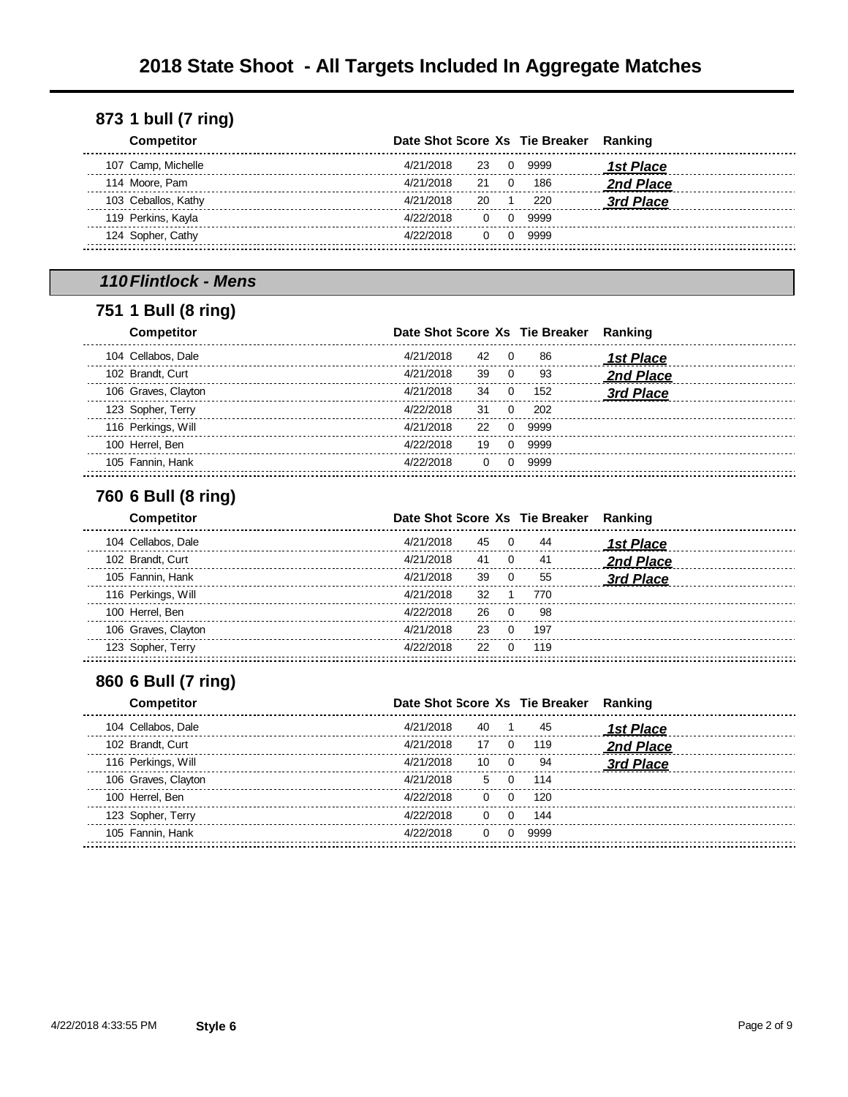| <b>Competitor</b>   |           |           |                   | Date Shot Score Xs Tie Breaker Ranking |           |
|---------------------|-----------|-----------|-------------------|----------------------------------------|-----------|
| 107 Camp, Michelle  | 4/21/2018 | 23.       | $\cdot$ 0 $\cdot$ | 9999                                   | 1st Place |
| 114 Moore, Pam      | 4/21/2018 | 21 O      |                   | 186                                    | 2nd Place |
| 103 Ceballos, Kathy | 4/21/2018 | <b>20</b> | $\sim$ 1          | 220                                    | 3rd Place |
| 119 Perkins, Kayla  | 4/22/2018 |           |                   | 0 0 9999                               |           |
| 124 Sopher, Cathy   | 4/22/2018 |           |                   | 0 0 9999                               |           |
|                     |           |           |                   |                                        |           |

## *110Flintlock - Mens*

## **1 Bull (8 ring)**

| <b>Competitor</b>   |           |              |                | Date Shot Score Xs Tie Breaker | Ranking   |
|---------------------|-----------|--------------|----------------|--------------------------------|-----------|
| 104 Cellabos, Dale  | 4/21/2018 | 42           | $\overline{0}$ | 86                             | 1st Place |
| 102 Brandt, Curt    | 4/21/2018 | 39           | - 0            | 93                             | 2nd Place |
| 106 Graves, Clayton | 4/21/2018 | 34           | $\Omega$       | 152                            | 3rd Place |
| 123 Sopher, Terry   | 4/22/2018 | 31           | $\Omega$       | 202                            |           |
| 116 Perkings, Will  | 4/21/2018 | 22           |                | 9999                           |           |
| 100 Herrel, Ben     | 4/22/2018 | 19           |                | 9999                           |           |
| 105 Fannin, Hank    | 4/22/2018 | <sup>0</sup> | $\Omega$       | 9999                           |           |
|                     |           |              |                |                                |           |

#### **6 Bull (8 ring)**

| <b>Competitor</b>   | Date Shot Score Xs Tie Breaker Ranking |      |     |                  |
|---------------------|----------------------------------------|------|-----|------------------|
| 104 Cellabos, Dale  | 4/21/2018                              | 45 0 | 44  | <b>1st Place</b> |
| 102 Brandt, Curt    | 4/21/2018<br>41                        | - 0  | 41  | 2nd Place        |
| 105 Fannin, Hank    | 4/21/2018<br>39                        | - 0  | 55  | 3rd Place        |
| 116 Perkings, Will  | 4/21/2018<br>32                        |      | 770 |                  |
| 100 Herrel, Ben     | 4/22/2018<br>26                        | - റ  | 98  |                  |
| 106 Graves, Clayton | 4/21/2018<br>23                        | - റ  | 197 |                  |
| 123 Sopher, Terry   | 4/22/2018<br>22                        | - 0  | 119 |                  |

## **6 Bull (7 ring)**

| <b>Competitor</b>   | Date Shot Score Xs Tie Breaker Ranking |              |      |     |           |
|---------------------|----------------------------------------|--------------|------|-----|-----------|
| 104 Cellabos, Dale  | 4/21/2018                              | 40           |      | 45  | 1st Place |
| 102 Brandt, Curt    | 4/21/2018                              | 17           |      | 119 | 2nd Place |
| 116 Perkings, Will  | 4/21/2018                              | 10           | - റ  | 94  | 3rd Place |
| 106 Graves, Clayton | 4/21/2018                              | $5 -$        |      | 114 |           |
| 100 Herrel, Ben     | 4/22/2018                              | $\Omega$     |      | 120 |           |
| 123 Sopher, Terry   | 4/22/2018                              | $\Omega$     |      | 144 |           |
| 105 Fannin, Hank    | 4/22/2018                              | <sup>o</sup> | 9999 |     |           |
|                     |                                        |              |      |     |           |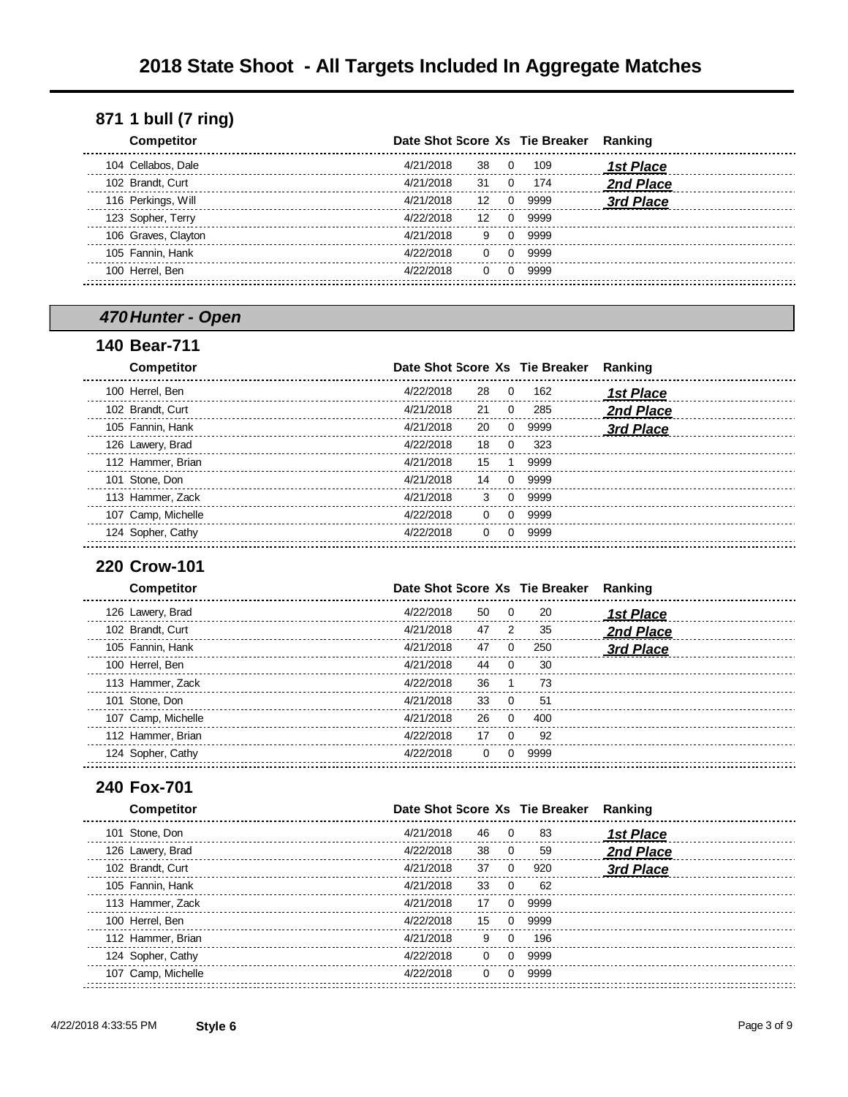| <b>Competitor</b>   | Date Shot Score Xs Tie Breaker Ranking |          |              |      |                  |
|---------------------|----------------------------------------|----------|--------------|------|------------------|
| 104 Cellabos, Dale  | 4/21/2018                              | 38       | $\Omega$     | 109  | <b>1st Place</b> |
| 102 Brandt, Curt    | 4/21/2018                              | 31       | $\Omega$     | 174  | 2nd Place        |
| 116 Perkings, Will  | 4/21/2018                              | 12       | 0            | 9999 | 3rd Place        |
| 123 Sopher, Terry   | 4/22/2018                              | 12       | <sup>0</sup> | 9999 |                  |
| 106 Graves, Clayton | 4/21/2018                              | 9        | $\Omega$     | 9999 |                  |
| 105 Fannin, Hank    | 4/22/2018                              | $\Omega$ | <sup>0</sup> | 9999 |                  |
| 100 Herrel, Ben     | 4/22/2018                              | $\Omega$ | <sup>0</sup> | 9999 |                  |
|                     |                                        |          |              |      |                  |

## *470Hunter - Open*

#### **Bear-711**

| <b>Competitor</b>  | Date Shot Score Xs Tie Breaker |                          |      | Ranking          |
|--------------------|--------------------------------|--------------------------|------|------------------|
| 100 Herrel, Ben    | 4/22/2018                      | 28<br>$\Omega$           | 162  | <b>1st Place</b> |
| 102 Brandt, Curt   | 4/21/2018                      | 21<br>$\Omega$           | 285  | 2nd Place        |
| 105 Fannin, Hank   | 4/21/2018                      | 20<br>o                  | 9999 | 3rd Place        |
| 126 Lawery, Brad   | 4/22/2018                      | 18                       | 323  |                  |
| 112 Hammer, Brian  | 4/21/2018                      | 15                       | 9999 |                  |
| 101 Stone, Don     | 4/21/2018                      | 14                       | 9999 |                  |
| 113 Hammer, Zack   | 4/21/2018                      | 3<br>0                   | 9999 |                  |
| 107 Camp, Michelle | 4/22/2018                      | $\Omega$<br><sup>0</sup> | 9999 |                  |
| 124 Sopher, Cathy  | 4/22/2018                      | <sup>0</sup>             | 9999 |                  |
|                    |                                |                          |      |                  |

## **Crow-101**

| <b>Competitor</b>  |           |    |          | Date Shot Score Xs Tie Breaker | Ranking          |
|--------------------|-----------|----|----------|--------------------------------|------------------|
| 126 Lawery, Brad   | 4/22/2018 | 50 | - 0      | 20                             | <b>1st Place</b> |
| 102 Brandt, Curt   | 4/21/2018 | 47 | 2        | 35                             | 2nd Place        |
| 105 Fannin, Hank   | 4/21/2018 | 47 | $\Omega$ | 250                            | 3rd Place        |
| 100 Herrel, Ben    | 4/21/2018 | 44 |          | 30                             |                  |
| 113 Hammer, Zack   | 4/22/2018 | 36 |          | 73                             |                  |
| 101 Stone, Don     | 4/21/2018 | 33 |          | 51                             |                  |
| 107 Camp, Michelle | 4/21/2018 | 26 | $\Omega$ | 400                            |                  |
| 112 Hammer, Brian  | 4/22/2018 | 17 | $\Omega$ | 92                             |                  |
| 124 Sopher, Cathy  | 4/22/2018 | 0  |          | 9999                           |                  |
|                    |           |    |          |                                |                  |

#### **Fox-701**

| <b>Competitor</b>  | Date Shot Score Xs Tie Breaker |                |      | Ranking          |
|--------------------|--------------------------------|----------------|------|------------------|
| 101 Stone, Don     | 4/21/2018<br>46                | $\overline{0}$ | 83   | <b>1st Place</b> |
| 126 Lawery, Brad   | 4/22/2018<br>38                | $\overline{0}$ | 59   | 2nd Place        |
| 102 Brandt, Curt   | 4/21/2018<br>37                | $\Omega$       | 920  | 3rd Place        |
| 105 Fannin, Hank   | 4/21/2018<br>33                | - 0            | 62   |                  |
| 113 Hammer, Zack   | 4/21/2018<br>17                | 0              | 9999 |                  |
| 100 Herrel, Ben    | 4/22/2018<br>15                | $\Omega$       | 9999 |                  |
| 112 Hammer, Brian  | 4/21/2018<br>9                 | $\Omega$       | 196  |                  |
| 124 Sopher, Cathy  | 4/22/2018<br>$\Omega$          | $\Omega$       | 9999 |                  |
| 107 Camp, Michelle | 4/22/2018<br>$\Omega$          |                | 9999 |                  |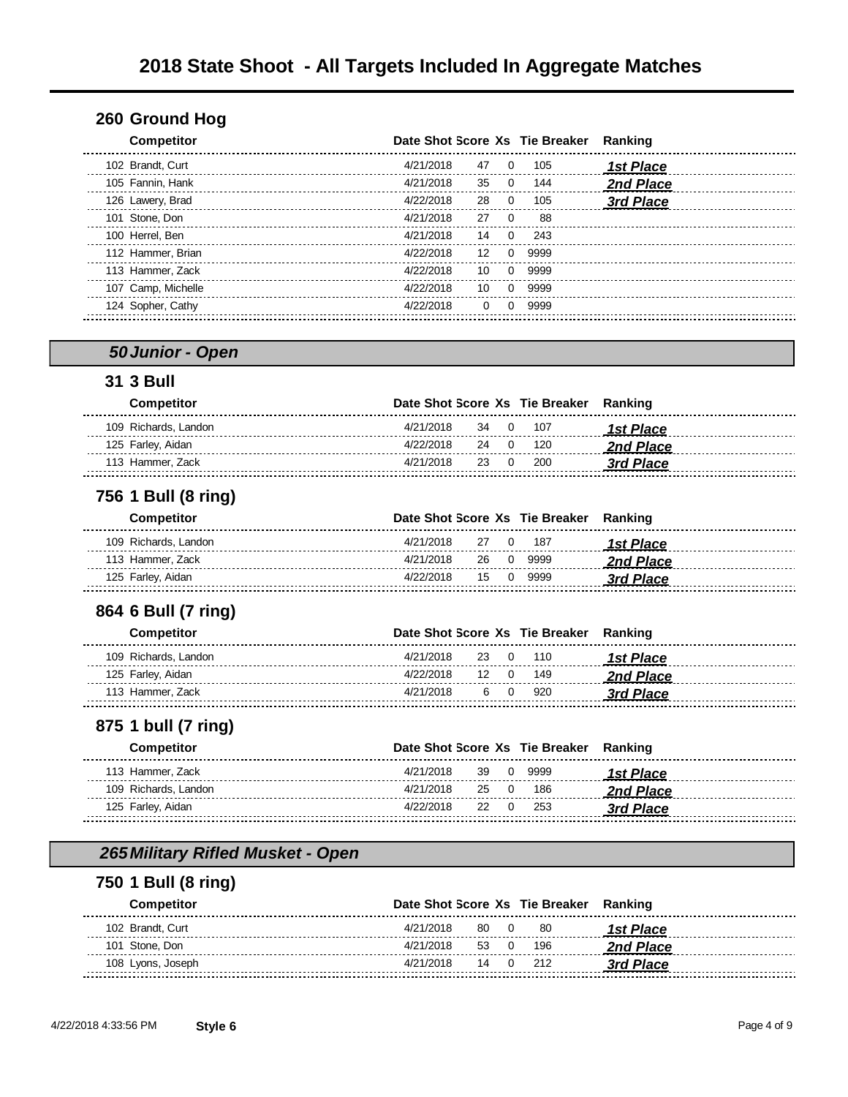#### **Ground Hog**

| <b>Competitor</b>  |           |          |              | Date Shot Score Xs Tie Breaker | Ranking          |
|--------------------|-----------|----------|--------------|--------------------------------|------------------|
| 102 Brandt, Curt   | 4/21/2018 | 47       | 0            | 105                            | <u>1st Place</u> |
| 105 Fannin, Hank   | 4/21/2018 | 35       | 0            | 144                            | 2nd Place        |
| 126 Lawery, Brad   | 4/22/2018 | 28       | 0            | 105                            | 3rd Place        |
| 101 Stone, Don     | 4/21/2018 | 27       | $\Omega$     | 88                             |                  |
| 100 Herrel, Ben    | 4/21/2018 | 14       | 0            | 243                            |                  |
| 112 Hammer, Brian  | 4/22/2018 | 12       | 0            | 9999                           |                  |
| 113 Hammer, Zack   | 4/22/2018 | 10       | <sup>o</sup> | 9999                           |                  |
| 107 Camp, Michelle | 4/22/2018 | 10       | 0            | 9999                           |                  |
| 124 Sopher, Cathy  | 4/22/2018 | $\Omega$ | 0            | 9999                           |                  |
|                    |           |          |              |                                |                  |

#### *50Junior - Open*

#### **3 Bull**

| Competitor           | Date Shot Score Xs Tie Breaker Ranking |             |
|----------------------|----------------------------------------|-------------|
| 109 Richards, Landon | 4/21/2018<br>34 0 107                  | 1st Place   |
| 125 Farley, Aidan    | 4/22/2018<br>24 0 120                  | ممم2nd Plac |
| 113 Hammer. Zack     | 4/21/2018<br>23 0 200                  | 3rd Place   |
|                      |                                        |             |

#### **1 Bull (8 ring)**

| <b>Competitor</b>    |           |  | Date Shot Score Xs Tie Breaker Ranking |           |
|----------------------|-----------|--|----------------------------------------|-----------|
| 109 Richards, Landon | 4/21/2018 |  | 27 0 187                               | 1st Place |
| 113 Hammer, Zack     | 4/21/2018 |  | 26 0 9999                              | 2nd Place |
| 125 Farley, Aidan    | 4/22/2018 |  | 15 0 9999                              | 3rd Place |
|                      |           |  |                                        |           |

#### **6 Bull (7 ring)**

| Competitor           | Date Shot Score Xs Tie Breaker Ranking |  |          |                         |
|----------------------|----------------------------------------|--|----------|-------------------------|
| 109 Richards, Landon | 4/21/2018                              |  | 23 0 110 | <i><b>1st Place</b></i> |
| 125 Farley, Aidan    | 4/22/2018                              |  | 12 0 149 | 2nd Place               |
| 113 Hammer. Zack     | 4/21/2018                              |  | 6 0 920  | 3rd Place               |
|                      |                                        |  |          |                         |

## **1 bull (7 ring)**

| Competitor           |           |  | Date Shot Score Xs Tie Breaker Ranking |           |
|----------------------|-----------|--|----------------------------------------|-----------|
| 113 Hammer, Zack     | 4/21/2018 |  | 39 0 9999                              | 1st Place |
| 109 Richards, Landon | 4/21/2018 |  | 25 0 186                               | 2nd Place |
| 125 Farley, Aidan    | 4/22/2018 |  | 22 0 253                               | 3rd Place |
|                      |           |  |                                        |           |

## *265Military Rifled Musket - Open*

#### **1 Bull (8 ring)**

| <b>Competitor</b> | Date Shot Score Xs Tie Breaker Ranking |          |           |
|-------------------|----------------------------------------|----------|-----------|
| 102 Brandt, Curt  | 4/21/2018<br>80 0                      | -80      | 1st Place |
| 101 Stone, Don    | 4/21/2018                              | 53 0 196 | 2nd Place |
| 108 Lyons, Joseph | 4/21/2018                              | 14 0 212 | 3rd Place |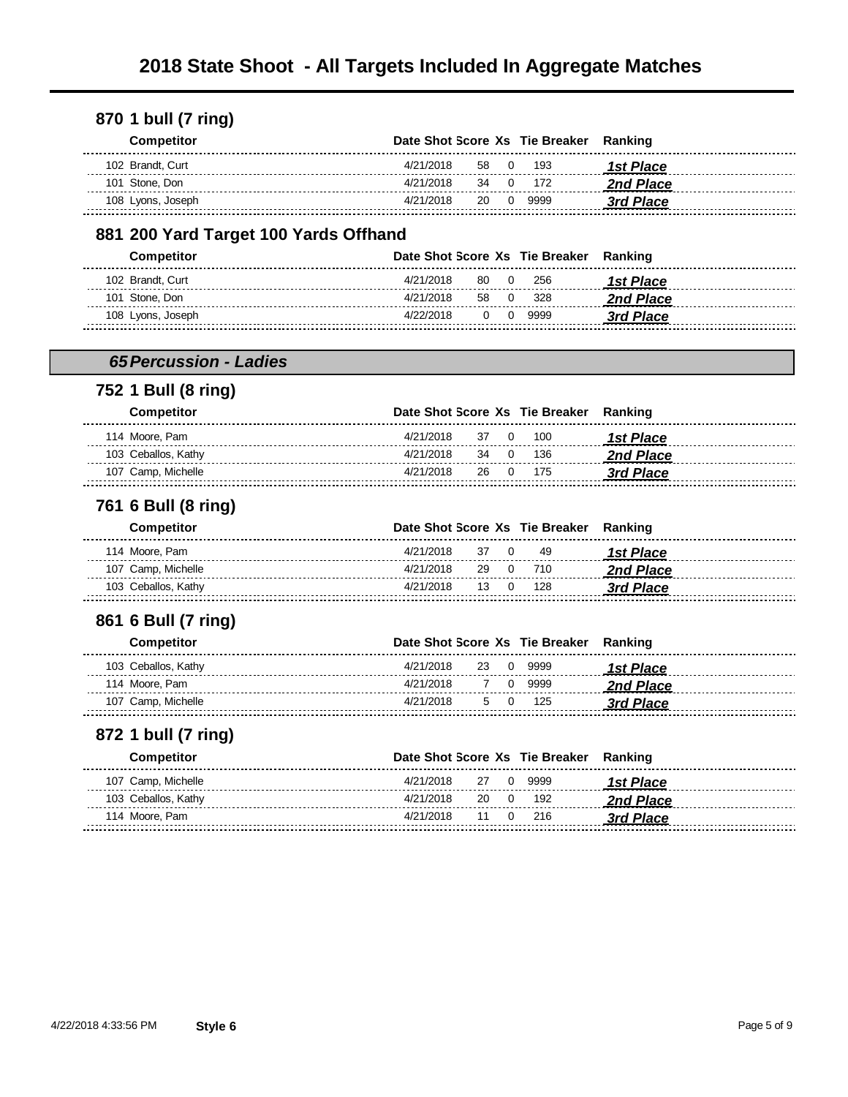| <b>Competitor</b> | Date Shot Score Xs Tie Breaker Ranking |  |                  |
|-------------------|----------------------------------------|--|------------------|
| 102 Brandt, Curt  | 4/21/2018<br>58 0 193                  |  | 1st Place        |
| 101 Stone, Don    | 34 0 172<br>4/21/2018                  |  | <b>2nd Place</b> |
| 108 Lyons, Joseph | 4/21/2018<br>20 0 9999                 |  | 3rd Place        |

#### **200 Yard Target 100 Yards Offhand**

| <b>Competitor</b> | Date Shot Score Xs Tie Breaker Ranking |           |          |           |
|-------------------|----------------------------------------|-----------|----------|-----------|
| 102 Brandt, Curt  | 4/21/2018                              |           | 80 0 256 | 1st Place |
| 101 Stone, Don    | 4/21/2018<br>58                        | $\bigcap$ | 328      | 2nd Place |
| 108 Lyons, Joseph | 4/22/2018                              |           | 0 0 9999 | 3rd Place |
|                   |                                        |           |          |           |

#### *65Percussion - Ladies*

#### **1 Bull (8 ring)**

| <b>Competitor</b>   | Date Shot Score Xs Tie Breaker Ranking |                  |
|---------------------|----------------------------------------|------------------|
| 114 Moore, Pam      | 4/21/2018<br>37 0 100                  | 1st Place        |
| 103 Ceballos, Kathv | 4/21/2018<br>34 0 136                  | <b>2nd Place</b> |
| 107 Camp, Michelle  | 4/21/2018<br>26 0 175                  | 3rd Place        |

#### **6 Bull (8 ring)**

| <b>Competitor</b>   | Date Shot Score Xs Tie Breaker Ranking |  |          |                  |
|---------------------|----------------------------------------|--|----------|------------------|
| 114 Moore, Pam      | 4/21/2018                              |  | 37 0 49  | 1st Place        |
| 107 Camp, Michelle  | 4/21/2018                              |  | 29 0 710 | <b>2nd Place</b> |
| 103 Ceballos, Kathv | 4/21/2018 13 0 128                     |  |          | 3rd Place        |

#### **6 Bull (7 ring)**

| <b>Competitor</b>   | Date Shot Score Xs Tie Breaker Ranking |  |           |                  |
|---------------------|----------------------------------------|--|-----------|------------------|
| 103 Ceballos, Kathy | 4/21/2018                              |  | 23 0 9999 | 1st Place        |
| 114 Moore. Pam      | 4/21/2018                              |  | 7 0 9999  | <b>2nd Place</b> |
| 107 Camp, Michelle  | 4/21/2018                              |  | 5 0 125   | 3rd Place        |
|                     |                                        |  |           |                  |

#### **1 bull (7 ring)**

| <b>Competitor</b>   | Date Shot Score Xs Tie Breaker Ranking |  |           |
|---------------------|----------------------------------------|--|-----------|
| 107 Camp, Michelle  | 4/21/2018<br>27 0 9999                 |  | 1st Place |
| 103 Ceballos, Kathy | 4/21/2018<br>20 0 192                  |  | 2nd Place |
| 114 Moore, Pam      | 4/21/2018<br>11 0 216                  |  | 3rd Place |
|                     |                                        |  |           |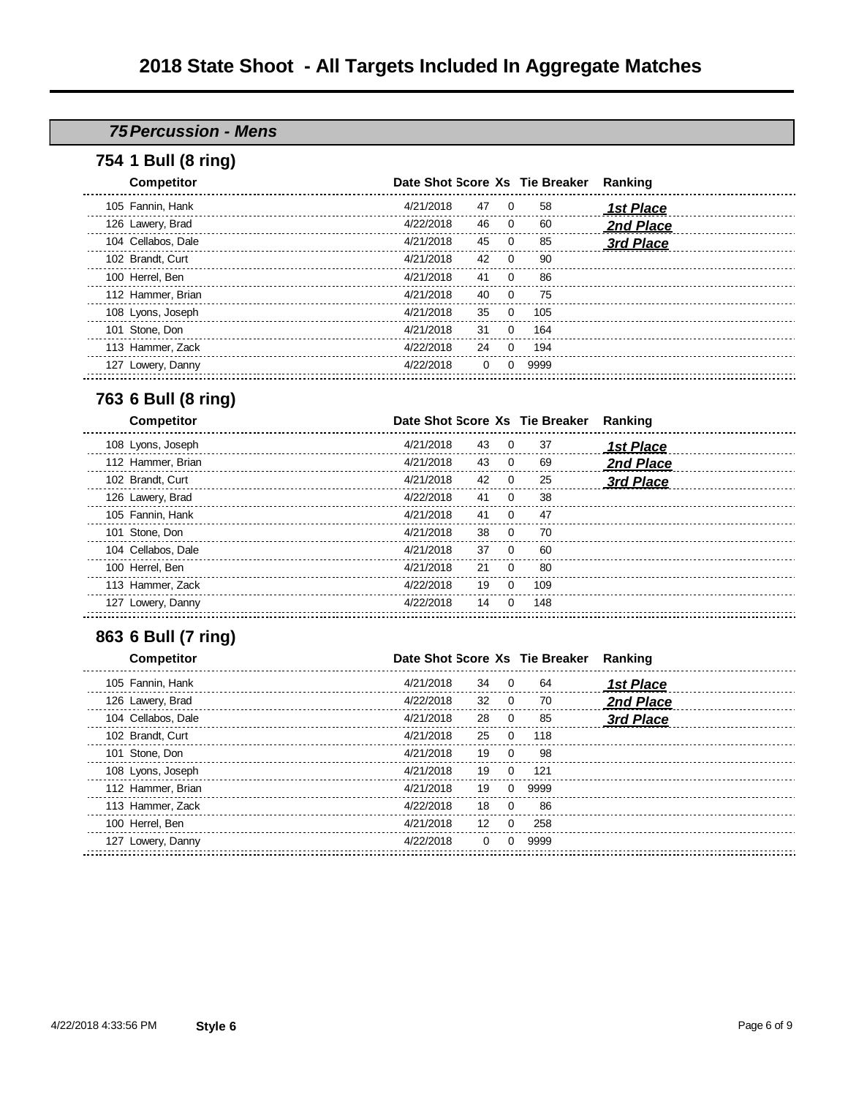## *75Percussion - Mens*

#### **1 Bull (8 ring)**

| <b>Competitor</b>  |           |          |          | Date Shot Score Xs Tie Breaker | Ranking   |
|--------------------|-----------|----------|----------|--------------------------------|-----------|
| 105 Fannin, Hank   | 4/21/2018 | 47       | $\Omega$ | 58                             | 1st Place |
| 126 Lawery, Brad   | 4/22/2018 | 46       | $\Omega$ | 60                             | 2nd Place |
| 104 Cellabos, Dale | 4/21/2018 | 45       | $\Omega$ | 85                             | 3rd Place |
| 102 Brandt, Curt   | 4/21/2018 | 42       | $\Omega$ | 90                             |           |
| 100 Herrel, Ben    | 4/21/2018 | 41       | $\Omega$ | 86                             |           |
| 112 Hammer, Brian  | 4/21/2018 | 40       | $\Omega$ | 75                             |           |
| 108 Lyons, Joseph  | 4/21/2018 | 35       | $\Omega$ | 105                            |           |
| 101 Stone, Don     | 4/21/2018 | 31       | $\Omega$ | 164                            |           |
| 113 Hammer, Zack   | 4/22/2018 | 24       | $\Omega$ | 194                            |           |
| 127 Lowery, Danny  | 4/22/2018 | $\Omega$ |          | 9999                           |           |
|                    |           |          |          |                                |           |

#### **6 Bull (8 ring)**

| <b>Competitor</b>  |           |                | Date Shot Score Xs Tie Breaker | Ranking          |
|--------------------|-----------|----------------|--------------------------------|------------------|
| 108 Lyons, Joseph  | 4/21/2018 | 43<br>$\Omega$ | 37                             | <b>1st Place</b> |
| 112 Hammer, Brian  | 4/21/2018 | 43<br>$\Omega$ | 69                             | 2nd Place        |
| 102 Brandt, Curt   | 4/21/2018 | 42<br>$\Omega$ | 25                             | 3rd Place        |
| 126 Lawery, Brad   | 4/22/2018 | 41<br>$\Omega$ | 38                             |                  |
| 105 Fannin, Hank   | 4/21/2018 | 41<br>$\Omega$ | 47                             |                  |
| 101 Stone, Don     | 4/21/2018 | 38             | 70                             |                  |
| 104 Cellabos, Dale | 4/21/2018 | 37<br>$\Omega$ | 60                             |                  |
| 100 Herrel, Ben    | 4/21/2018 | 21<br>$\Omega$ | 80                             |                  |
| 113 Hammer, Zack   | 4/22/2018 | 19             | 109                            |                  |
| 127 Lowery, Danny  | 4/22/2018 | 14             | 148                            |                  |
|                    |           |                |                                |                  |

## **6 Bull (7 ring)**

| <b>Competitor</b>  | Date Shot Score Xs Tie Breaker |                             |      | Ranking   |
|--------------------|--------------------------------|-----------------------------|------|-----------|
| 105 Fannin, Hank   | 4/21/2018                      | 34<br>$\Omega$              | 64   | 1st Place |
| 126 Lawery, Brad   | 4/22/2018                      | 32<br>$\Omega$              | 70   | 2nd Place |
| 104 Cellabos, Dale | 4/21/2018                      | 28<br>- 0                   | 85   | 3rd Place |
| 102 Brandt, Curt   | 4/21/2018<br>25                | $\Omega$                    | 118  |           |
| 101 Stone, Don     | 4/21/2018                      | 19<br>$\Omega$              | 98   |           |
| 108 Lyons, Joseph  | 4/21/2018                      | 19<br>$\Omega$              | 121  |           |
| 112 Hammer, Brian  | 4/21/2018                      | 19<br>$\Omega$              | 9999 |           |
| 113 Hammer, Zack   | 4/22/2018                      | 18<br>$\Omega$              | 86   |           |
| 100 Herrel, Ben    | 4/21/2018                      | 12 <sup>°</sup><br>$\Omega$ | 258  |           |
| 127 Lowery, Danny  | 4/22/2018                      | $\Omega$                    | 9999 |           |
|                    |                                |                             |      |           |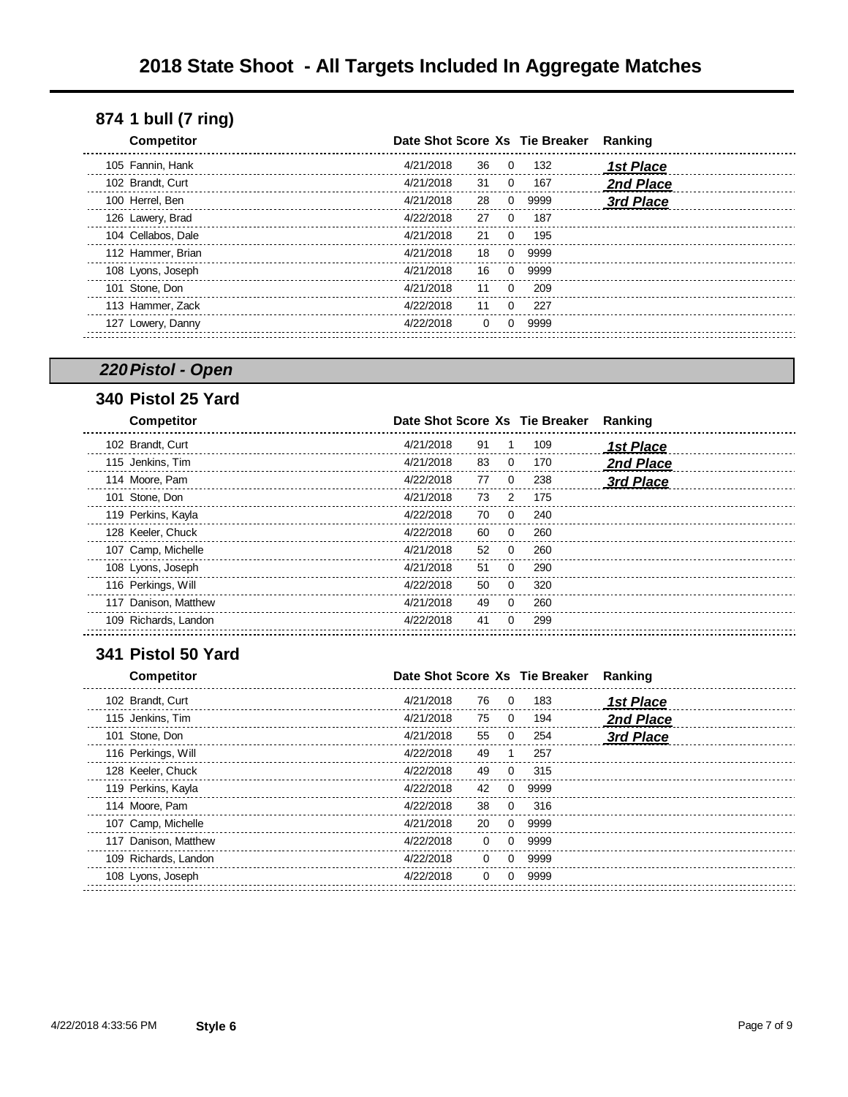| <b>Competitor</b>  | Date Shot Score Xs Tie Breaker |              |      | Ranking          |
|--------------------|--------------------------------|--------------|------|------------------|
| 105 Fannin, Hank   | 4/21/2018<br>36                | 0            | 132  | <b>1st Place</b> |
| 102 Brandt, Curt   | 4/21/2018<br>31                | 0            | 167  | 2nd Place        |
| 100 Herrel, Ben    | 4/21/2018<br>28                | 0            | 9999 | 3rd Place        |
| 126 Lawery, Brad   | 4/22/2018<br>27                |              | 187  |                  |
| 104 Cellabos, Dale | 4/21/2018<br>21                | O.           | 195  |                  |
| 112 Hammer, Brian  | 4/21/2018<br>18                | 0            | 9999 |                  |
| 108 Lyons, Joseph  | 4/21/2018<br>16                | 0            | 9999 |                  |
| 101 Stone, Don     | 4/21/2018<br>11                | 0            | 209  |                  |
| 113 Hammer, Zack   | 4/22/2018<br>11                | 0            | 227  |                  |
| 127 Lowery, Danny  | 4/22/2018<br>$\Omega$          | <sup>0</sup> | 9999 |                  |
|                    |                                |              |      |                  |

## *220Pistol - Open*

## **Pistol 25 Yard**

| <b>Competitor</b>    | Date Shot Score Xs Tie Breaker |                |     | Ranking   |
|----------------------|--------------------------------|----------------|-----|-----------|
| 102 Brandt, Curt     | 4/21/2018                      | 91             | 109 | 1st Place |
| 115 Jenkins, Tim     | 4/21/2018                      | 83<br>$\Omega$ | 170 | 2nd Place |
| 114 Moore, Pam       | 4/22/2018                      | 77<br>$\Omega$ | 238 | 3rd Place |
| 101 Stone, Don       | 4/21/2018                      | 73<br>2        | 175 |           |
| 119 Perkins, Kayla   | 4/22/2018                      | 70<br>$\Omega$ | 240 |           |
| 128 Keeler, Chuck    | 4/22/2018                      | 60<br>$\Omega$ | 260 |           |
| 107 Camp, Michelle   | 4/21/2018                      | 52<br>0        | 260 |           |
| 108 Lyons, Joseph    | 4/21/2018                      | 51<br>$\Omega$ | 290 |           |
| 116 Perkings, Will   | 4/22/2018                      | 50<br>$\Omega$ | 320 |           |
| 117 Danison, Matthew | 4/21/2018                      | 49<br>$\Omega$ | 260 |           |
| 109 Richards, Landon | 4/22/2018                      | 41<br>$\Omega$ | 299 |           |
|                      |                                |                |     |           |

#### **Pistol 50 Yard**

| <b>Competitor</b>    |           |                          | Date Shot Score Xs Tie Breaker | Ranking          |
|----------------------|-----------|--------------------------|--------------------------------|------------------|
| 102 Brandt, Curt     | 4/21/2018 | 76<br>$\Omega$           | 183                            | 1st Place        |
| 115 Jenkins, Tim     | 4/21/2018 | 75<br>0                  | 194                            | <b>2nd Place</b> |
| 101 Stone, Don       | 4/21/2018 | 55<br>0                  | 254                            | 3rd Place        |
| 116 Perkings, Will   | 4/22/2018 | 49                       | 257                            |                  |
| 128 Keeler, Chuck    | 4/22/2018 | 49<br>0                  | 315                            |                  |
| 119 Perkins, Kayla   | 4/22/2018 | 42<br>0                  | 9999                           |                  |
| 114 Moore, Pam       | 4/22/2018 | 38<br>0                  | 316                            |                  |
| 107 Camp, Michelle   | 4/21/2018 | 20<br>0                  | 9999                           |                  |
| 117 Danison, Matthew | 4/22/2018 | $\Omega$<br>0            | 9999                           |                  |
| 109 Richards, Landon | 4/22/2018 | $\Omega$<br>0            | 9999                           |                  |
| 108 Lyons, Joseph    | 4/22/2018 | $\Omega$<br><sup>0</sup> | 9999                           |                  |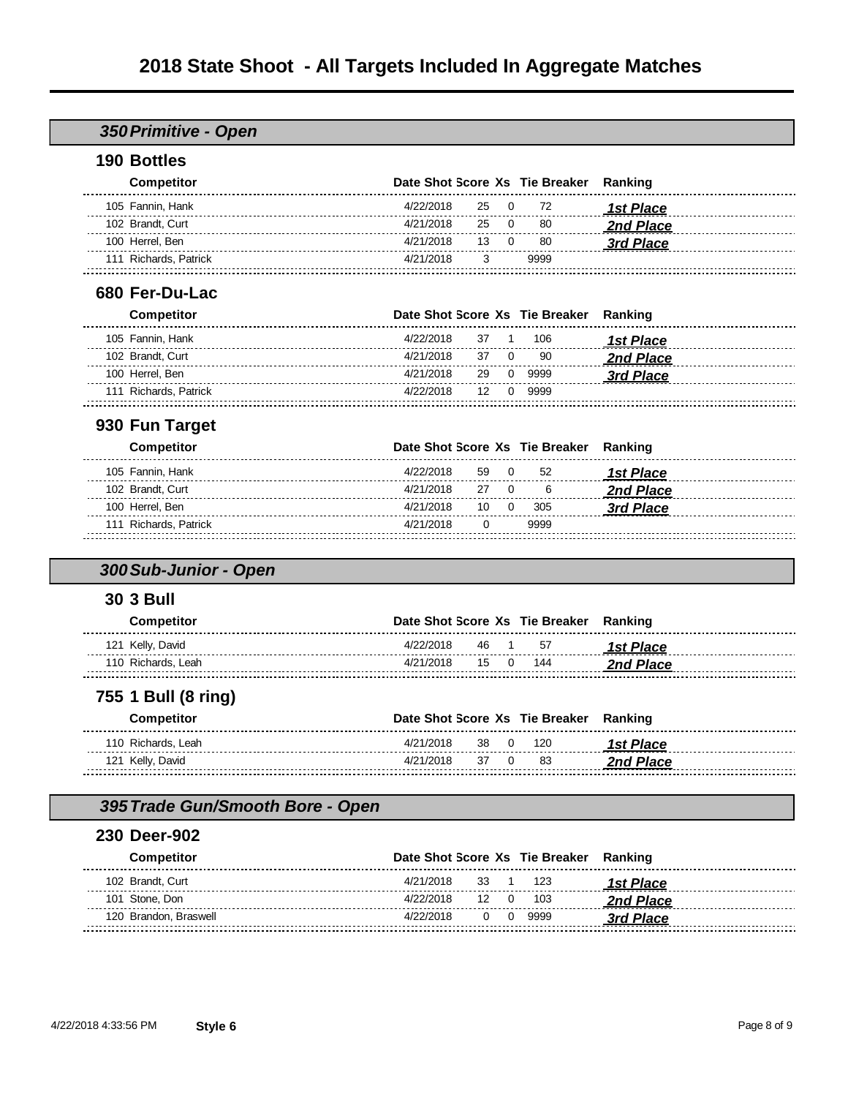#### *350Primitive - Open*

#### **Bottles**

| <b>Competitor</b>     | Date Shot Score Xs Tie Breaker Ranking |           |      |           |
|-----------------------|----------------------------------------|-----------|------|-----------|
| 105 Fannin, Hank      | 4/22/2018 25 0 72                      |           |      | 1st Place |
| 102 Brandt, Curt      | 4/21/2018                              | 25 O      | -80  | 2nd Place |
| 100 Herrel, Ben       | 4/21/2018                              | $13 \t 0$ | -80  | 3rd Place |
| 111 Richards, Patrick | 4/21/2018                              |           | 9999 |           |
|                       |                                        |           |      |           |

#### **Fer-Du-Lac**

| <b>Competitor</b>     | Date Shot Score Xs Tie Breaker Ranking |      |           |           |
|-----------------------|----------------------------------------|------|-----------|-----------|
| 105 Fannin, Hank      | 4/22/2018                              |      | 37 1 106  | 1st Place |
| 102 Brandt, Curt      | 4/21/2018                              | 37 0 | -90       | 2nd Place |
| 100 Herrel, Ben       | 4/21/2018                              |      | 29 0 9999 | 3rd Place |
| 111 Richards, Patrick | 4/22/2018                              |      | 12 0 9999 |           |
|                       |                                        |      |           |           |

## **Fun Target**

| <b>Competitor</b>     | Date Shot Score Xs Tie Breaker Ranking |          |          |           |
|-----------------------|----------------------------------------|----------|----------|-----------|
| 105 Fannin, Hank      | 4/22/2018                              |          | 59 0 52  | 1st Place |
| 102 Brandt, Curt      | 4/21/2018                              |          | 27 0 6   | 2nd Place |
| 100 Herrel, Ben       | 4/21/2018                              |          | 10 0 305 | 3rd Place |
| 111 Richards, Patrick | 4/21/2018                              | $\Omega$ | 9999     |           |
|                       |                                        |          |          |           |

## *300Sub-Junior - Open*

#### **3 Bull**

| Competitor         | Date Shot Score Xs Tie Breaker Ranking |            |                         |
|--------------------|----------------------------------------|------------|-------------------------|
| 121 Kelly, David   | 4/22/2018<br>46 1                      | 57         | <i><b>1st Place</b></i> |
| 110 Richards. Leah | 4/21/2018<br>15                        | $0 \t 144$ |                         |
|                    |                                        |            |                         |

#### **1 Bull (8 ring)**

| Competitor         | Date Shot Score Xs Tie Breaker Ranking |  |          |                  |
|--------------------|----------------------------------------|--|----------|------------------|
| 110 Richards, Leah | 4/21/2018                              |  | 38 0 120 | 1st Place        |
| 121 Kelly, David   | 4/21/2018                              |  | 37 0 83  | <b>2nd Place</b> |
|                    |                                        |  |          |                  |

#### *395Trade Gun/Smooth Bore - Open*

#### **Deer-902**

| <b>Competitor</b>     | Date Shot Score Xs Tie Breaker Ranking |          |           |
|-----------------------|----------------------------------------|----------|-----------|
| 102 Brandt, Curt      | 4/21/2018<br>33 1 123                  |          | 1st Place |
| 101 Stone, Don        | 4/22/2018                              | 12 0 103 | 2nd Place |
| 120 Brandon, Braswell | 4/22/2018                              | 0 0 9999 | 3rd Place |